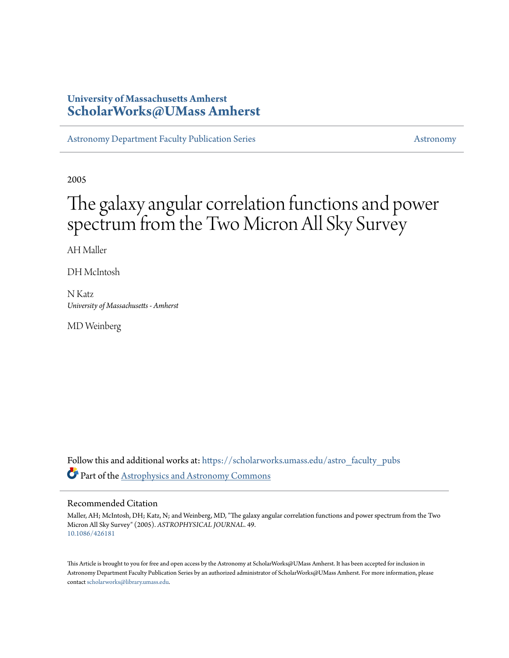# **University of Massachusetts Amherst [ScholarWorks@UMass Amherst](https://scholarworks.umass.edu?utm_source=scholarworks.umass.edu%2Fastro_faculty_pubs%2F49&utm_medium=PDF&utm_campaign=PDFCoverPages)**

[Astronomy Department Faculty Publication Series](https://scholarworks.umass.edu/astro_faculty_pubs?utm_source=scholarworks.umass.edu%2Fastro_faculty_pubs%2F49&utm_medium=PDF&utm_campaign=PDFCoverPages) [Astronomy](https://scholarworks.umass.edu/astro?utm_source=scholarworks.umass.edu%2Fastro_faculty_pubs%2F49&utm_medium=PDF&utm_campaign=PDFCoverPages) Astronomy

2005

# The galaxy angular correlation functions and power spectrum from the Two Micron All Sky Survey

AH Maller

DH McIntosh

N Katz *University of Massachusetts - Amherst*

MD Weinberg

Follow this and additional works at: [https://scholarworks.umass.edu/astro\\_faculty\\_pubs](https://scholarworks.umass.edu/astro_faculty_pubs?utm_source=scholarworks.umass.edu%2Fastro_faculty_pubs%2F49&utm_medium=PDF&utm_campaign=PDFCoverPages) Part of the [Astrophysics and Astronomy Commons](http://network.bepress.com/hgg/discipline/123?utm_source=scholarworks.umass.edu%2Fastro_faculty_pubs%2F49&utm_medium=PDF&utm_campaign=PDFCoverPages)

# Recommended Citation

Maller, AH; McIntosh, DH; Katz, N; and Weinberg, MD, "The galaxy angular correlation functions and power spectrum from the Two Micron All Sky Survey" (2005). *ASTROPHYSICAL JOURNAL*. 49. <10.1086/426181>

This Article is brought to you for free and open access by the Astronomy at ScholarWorks@UMass Amherst. It has been accepted for inclusion in Astronomy Department Faculty Publication Series by an authorized administrator of ScholarWorks@UMass Amherst. For more information, please contact [scholarworks@library.umass.edu](mailto:scholarworks@library.umass.edu).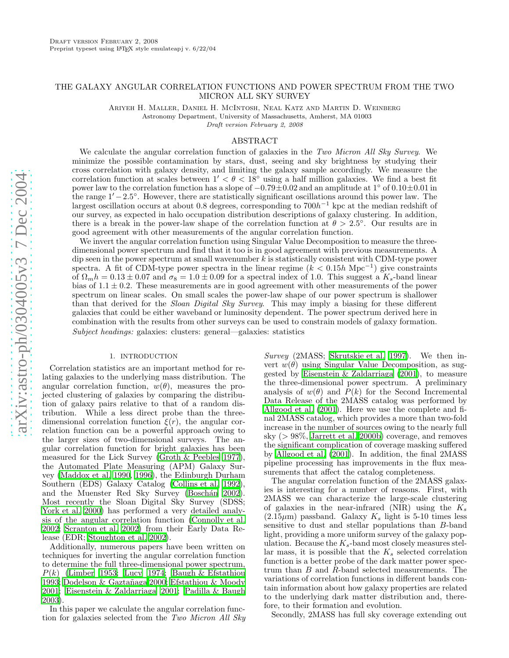# THE GALAXY ANGULAR CORRELATION FUNCTIONS AND POWER SPECTRUM FROM THE TWO MICRON ALL SKY SURVEY

Ariyeh H. Maller, Daniel H. McIntosh, Neal Katz and Martin D. Weinberg Astronomy Department, University of Massachusetts, Amherst, MA 01003

Draft version February 2, 2008

# ABSTRACT

We calculate the angular correlation function of galaxies in the *Two Micron All Sky Survey*. We minimize the possible contamination by stars, dust, seeing and sky brightness by studying their cross correlation with galaxy density, and limiting the galaxy sample accordingly. We measure the correlation function at scales between  $1' < \theta < 18^{\circ}$  using a half million galaxies. We find a best fit power law to the correlation function has a slope of  $-0.79 \pm 0.02$  and an amplitude at 1° of  $0.10 \pm 0.01$  in the range  $1' - 2.5^{\circ}$ . However, there are statistically significant oscillations around this power law. The largest oscillation occurs at about 0.8 degrees, corresponding to  $700h^{-1}$  kpc at the median redshift of our survey, as expected in halo occupation distribution descriptions of galaxy clustering. In addition, there is a break in the power-law shape of the correlation function at  $\theta > 2.5^{\circ}$ . Our results are in good agreement with other measurements of the angular correlation function.

We invert the angular correlation function using Singular Value Decomposition to measure the threedimensional power spectrum and find that it too is in good agreement with previous measurements. A dip seen in the power spectrum at small wavenumber k is statistically consistent with CDM-type power spectra. A fit of CDM-type power spectra in the linear regime ( $k < 0.15h$  Mpc<sup>-1</sup>) give constraints of  $\Omega_m h = 0.13 \pm 0.07$  and  $\sigma_8 = 1.0 \pm 0.09$  for a spectral index of 1.0. This suggest a  $K_s$ -band linear bias of  $1.1 \pm 0.2$ . These measurements are in good agreement with other measurements of the power spectrum on linear scales. On small scales the power-law shape of our power spectrum is shallower than that derived for the *Sloan Digital Sky Survey*. This may imply a biasing for these different galaxies that could be either waveband or luminosity dependent. The power spectrum derived here in combination with the results from other surveys can be used to constrain models of galaxy formation. *Subject headings:* galaxies: clusters: general—galaxies: statistics

# 1. INTRODUCTION

Correlation statistics are an important method for relating galaxies to the underlying mass distribution. The angular correlation function,  $w(\theta)$ , measures the projected clustering of galaxies by comparing the distribution of galaxy pairs relative to that of a random distribution. While a less direct probe than the threedimensional correlation function  $\xi(r)$ , the angular correlation function can be a powerful approach owing to the larger sizes of two-dimensional surveys. The angular correlation function for bright galaxies has been measured for the Lick Survey [\(Groth & Peebles 1977\)](#page-13-0), the Automated Plate Measuring (APM) Galaxy Survey [\(Maddox et al. 1990,](#page-13-1) [1996\)](#page-13-2), the Edinburgh Durham Southern (EDS) Galaxy Catalog [\(Collins et al. 1992\)](#page-13-3), and the Muenster Red Sky Survey (Boschán 2002). Most recently the Sloan Digital Sky Survey (SDSS; [York et al. 2000\)](#page-13-5) has performed a very detailed analysis of the angular correlation function [\(Connolly et al.](#page-13-6) [2002;](#page-13-6) [Scranton et al. 2002\)](#page-13-7) from their Early Data Release (EDR; [Stoughton et al. 2002\)](#page-13-8).

Additionally, numerous papers have been written on techniques for inverting the angular correlation function to determine the full three-dimensional power spectrum,  $P(k)$  [\(Limber 1953](#page-13-9); [Lucy 1974;](#page-13-10) [Baugh & Efstathiou](#page-13-11) [1993;](#page-13-11) Dodelson & Gaztañaga 2000; [Efstathiou & Moody](#page-13-13) [2001;](#page-13-13) [Eisenstein & Zaldarriaga 2001;](#page-13-14) [Padilla & Baugh](#page-13-15) [2003\)](#page-13-15).

In this paper we calculate the angular correlation function for galaxies selected from the *Two Micron All Sky*

*Survey* (2MASS; [Skrutskie et al. 1997\)](#page-13-16). We then invert  $w(\theta)$  using Singular Value Decomposition, as suggested by [Eisenstein & Zaldarriaga \(2001](#page-13-14)), to measure the three-dimensional power spectrum. A preliminary analysis of  $w(\theta)$  and  $P(k)$  for the Second Incremental Data Release of the 2MASS catalog was performed by [Allgood et al. \(2001\)](#page-13-17). Here we use the complete and final 2MASS catalog, which provides a more than two-fold increase in the number of sources owing to the nearly full sky ( > 98%, [Jarrett et al. 2000b](#page-13-18)) coverage, and removes the significant complication of coverage masking suffered by [Allgood et al. \(2001\)](#page-13-17). In addition, the final 2MASS pipeline processing has improvements in the flux measurements that affect the catalog completeness.

The angular correlation function of the 2MASS galaxies is interesting for a number of reasons. First, with 2MASS we can characterize the large-scale clustering of galaxies in the near-infrared (NIR) using the  $K_s$  $(2.15\mu m)$  passband. Galaxy  $K_s$  light is 5-10 times less sensitive to dust and stellar populations than B-band light, providing a more uniform survey of the galaxy population. Because the  $K_s$ -band most closely measures stellar mass, it is possible that the  $K_s$  selected correlation function is a better probe of the dark matter power spectrum than B and R-band selected measurements. The variations of correlation functions in different bands contain information about how galaxy properties are related to the underlying dark matter distribution and, therefore, to their formation and evolution.

Secondly, 2MASS has full sky coverage extending out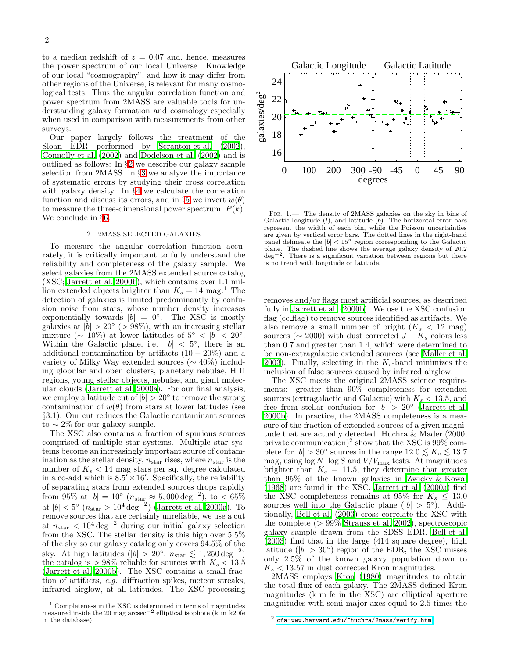to a median redshift of  $z = 0.07$  and, hence, measures the power spectrum of our local Universe. Knowledge of our local "cosmography", and how it may differ from other regions of the Universe, is relevant for many cosmological tests. Thus the angular correlation function and power spectrum from 2MASS are valuable tools for understanding galaxy formation and cosmology especially when used in comparison with measurements from other surveys.

Our paper largely follows the treatment of the Sloan EDR performed by [Scranton et al. \(2002\)](#page-13-7), [Connolly et al. \(2002\)](#page-13-6) and [Dodelson et al. \(2002\)](#page-13-19) and is outlined as follows: In §[2](#page-2-0) we describe our galaxy sample selection from 2MASS. In §[3](#page-3-0) we analyze the importance of systematic errors by studying their cross correlation with galaxy density. In §[4](#page-6-0) we calculate the correlation function and discuss its errors, and in §[5](#page-9-0) we invert  $w(\theta)$ to measure the three-dimensional power spectrum,  $P(k)$ . We conclude in §[6.](#page-12-0)

#### 2. 2MASS SELECTED GALAXIES

<span id="page-2-0"></span>To measure the angular correlation function accurately, it is critically important to fully understand the reliability and completeness of the galaxy sample. We select galaxies from the 2MASS extended source catalog (XSC; [Jarrett et al. 2000b\)](#page-13-18), which contains over 1.1 million extended objects brighter than  $K_s = 14$  mag.<sup>1</sup> The detection of galaxies is limited predominantly by confusion noise from stars, whose number density increases exponentially towards  $|b| = 0$ °. The XSC is mostly galaxies at  $|b| > 20^{\circ}$  (> 98%), with an increasing stellar mixture ( $\sim$  10%) at lower latitudes of  $5^{\circ}$  <  $|b|$  < 20°. Within the Galactic plane, i.e.  $|b| < 5^{\circ}$ , there is an additional contamination by artifacts  $(10 - 20\%)$  and a variety of Milky Way extended sources (∼ 40%) including globular and open clusters, planetary nebulae, H II regions, young stellar objects, nebulae, and giant molecular clouds [\(Jarrett et al. 2000a\)](#page-13-20). For our final analysis, we employ a latitude cut of  $|b| > 20^{\circ}$  to remove the strong contamination of  $w(\theta)$  from stars at lower latitudes (see §3.1). Our cut reduces the Galactic contaminant sources to  $\sim$  2% for our galaxy sample.

The XSC also contains a fraction of spurious sources comprised of multiple star systems. Multiple star systems become an increasingly important source of contamination as the stellar density,  $n_{\text{star}}$  rises, where  $n_{\text{star}}$  is the number of  $K_s < 14$  mag stars per sq. degree calculated in a co-add which is  $8.5' \times 16'$ . Specifically, the reliability of separating stars from extended sources drops rapidly from 95% at  $|b| = 10^{\circ}$   $(n_{\text{star}} \approx 5,000 \text{ deg}^{-2}), \text{ to } < 65\%$ at  $|b| < 5^{\circ}$   $(n_{\text{star}} > 10^{4} \text{ deg}^{-2})$  [\(Jarrett et al. 2000a\)](#page-13-20). To remove sources that are certainly unreliable, we use a cut at  $n_{\text{star}} < 10^4 \text{ deg}^{-2}$  during our initial galaxy selection from the XSC. The stellar density is this high over 5.5% of the sky so our galaxy catalog only covers 94.5% of the sky. At high latitudes ( $|b| > 20^{\circ}$ ,  $n_{\text{star}} \lesssim 1,250 \text{ deg}^{-2}$ ) the catalog is  $> 98\%$  reliable for sources with  $K_s < 13.5$ [\(Jarrett et al. 2000b\)](#page-13-18). The XSC contains a small fraction of artifacts, *e.g.* diffraction spikes, meteor streaks, infrared airglow, at all latitudes. The XSC processing



<span id="page-2-1"></span>Fig. 1.— The density of 2MASS galaxies on the sky in bins of Galactic longitude  $(l)$ , and latitude  $(b)$ . The horizontal error bars represent the width of each bin, while the Poisson uncertainties are given by vertical error bars. The dotted lines in the right-hand panel delineate the  $|b| < 15^\circ$  region corresponding to the Galactic plane. The dashed line shows the average galaxy density of 20.2 deg<sup>−2</sup>. There is a significant variation between regions but there is no trend with longitude or latitude.

removes and/or flags most artificial sources, as described fully in [Jarrett et al. \(2000b](#page-13-18)). We use the XSC confusion flag (cc flag) to remove sources identified as artifacts. We also remove a small number of bright  $(K_s < 12 \text{ mag})$ sources ( $\sim$  2000) with dust corrected  $J - K_s$  colors less than 0.7 and greater than 1.4, which were determined to be non-extragalactic extended sources (see [Maller et al.](#page-13-21) [2003\)](#page-13-21). Finally, selecting in the  $K_s$ -band minimizes the inclusion of false sources caused by infrared airglow.

The XSC meets the original 2MASS science requirements: greater than 90% completeness for extended sources (extragalactic and Galactic) with  $K_s < 13.5$ , and free from stellar confusion for  $|b| > 20^{\circ}$  [\(Jarrett et al.](#page-13-18) [2000b](#page-13-18)). In practice, the 2MASS completeness is a measure of the fraction of extended sources of a given magnitude that are actually detected. Huchra & Mader (2000, private communication)<sup>2</sup> show that the XSC is  $99\%$  complete for  $|b| > 30^{\circ}$  sources in the range  $12.0 \lesssim K_s \lesssim 13.7$ mag, using  $\log N\!-\!\log S$  and  $V/V_{\rm max}$  tests. At magnitudes brighter than  $K_s = 11.5$ , they determine that greater than 95% of the known galaxies in [Zwicky & Kowal](#page-13-22) [\(1968\)](#page-13-22) are found in the XSC. [Jarrett et al. \(2000a\)](#page-13-20) find the XSC completeness remains at 95% for  $K_s \leq 13.0$ sources well into the Galactic plane ( $|b| > 5^{\circ}$ ). Additionally, [Bell et al. \(2003\)](#page-13-23) cross correlate the XSC with the complete (> 99% [Strauss et al. 2002\)](#page-13-24), spectroscopic galaxy sample drawn from the SDSS EDR. [Bell et al.](#page-13-23)  $(2003)$  find that in the large  $(414 \text{ square degree})$ , high latitude ( $|b| > 30^{\circ}$ ) region of the EDR, the XSC misses only 2.5% of the known galaxy population down to  $K<sub>s</sub> < 13.57$  in dust corrected Kron magnitudes.

2MASS employs [Kron \(1980\)](#page-13-25) magnitudes to obtain the total flux of each galaxy. The 2MASS-defined Kron magnitudes  $(k_m f e$  in the XSC) are elliptical aperture magnitudes with semi-major axes equal to 2.5 times the

 $1$  Completeness in the XSC is determined in terms of magnitudes measured inside the 20 mag arcsec−<sup>2</sup> elliptical isophote (k m k20fe in the database).

 $2$  <cfa-www.harvard.edu/~huchra/2mass/verify.htm>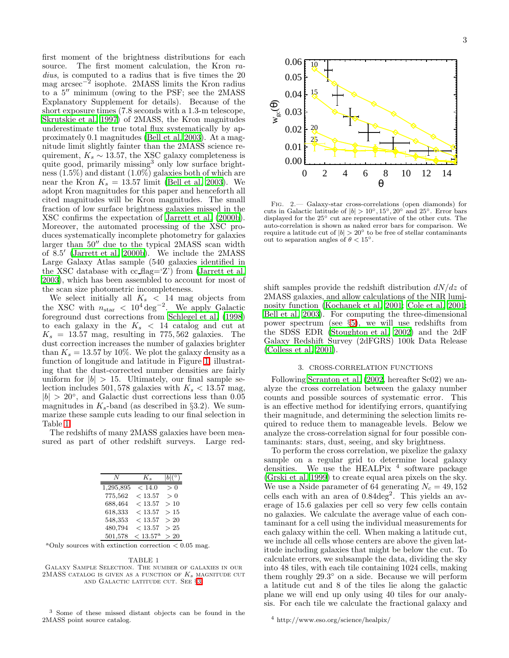first moment of the brightness distributions for each source. The first moment calculation, the Kron *radius*, is computed to a radius that is five times the 20 mag arcsec<sup>−</sup><sup>2</sup> isophote. 2MASS limits the Kron radius to a 5′′ minimum (owing to the PSF; see the 2MASS Explanatory Supplement for details). Because of the short exposure times (7.8 seconds with a 1.3-m telescope, [Skrutskie et al. 1997\)](#page-13-16) of 2MASS, the Kron magnitudes underestimate the true total flux systematically by approximately 0.1 magnitudes [\(Bell et al. 2003\)](#page-13-23). At a magnitude limit slightly fainter than the 2MASS science requirement,  $K_s \sim 13.57$ , the XSC galaxy completeness is quite good, primarily missing<sup>3</sup> only low surface brightness  $(1.5\%)$  and distant  $(1.0\%)$  galaxies both of which are near the Kron  $K_s = 13.57$  limit [\(Bell et al. 2003\)](#page-13-23). We adopt Kron magnitudes for this paper and henceforth all cited magnitudes will be Kron magnitudes. The small fraction of low surface brightness galaxies missed in the XSC confirms the expectation of [Jarrett et al. \(2000b\)](#page-13-18). Moreover, the automated processing of the XSC produces systematically incomplete photometry for galaxies larger than 50′′ due to the typical 2MASS scan width of 8.5 ′ [\(Jarrett et al. 2000b\)](#page-13-18). We include the 2MASS Large Galaxy Atlas sample (540 galaxies identified in the XSC database with  $cc$ -flag= $Z'$ ) from [\(Jarrett et al.](#page-13-26) [2003\)](#page-13-26), which has been assembled to account for most of the scan size photometric incompleteness.

We select initially all  $K_s$  < 14 mag objects from the XSC with  $n_{\text{star}} < 10^4 \text{ deg}^{-2}$ . We apply Galactic foreground dust corrections from [Schlegel et al. \(1998](#page-13-27)) to each galaxy in the  $K_s$  < 14 catalog and cut at  $K_s = 13.57$  mag, resulting in 775, 562 galaxies. The dust correction increases the number of galaxies brighter than  $K_s = 13.57$  by 10%. We plot the galaxy density as a function of longitude and latitude in Figure [1,](#page-2-1) illustrating that the dust-corrected number densities are fairly uniform for  $|b| > 15$ . Ultimately, our final sample selection includes 501, 578 galaxies with  $K_s < 13.57$  mag,  $|b| > 20^{\circ}$ , and Galactic dust corrections less than 0.05 magnitudes in  $K_s$ -band (as described in §3.2). We summarize these sample cuts leading to our final selection in Table [1.](#page-3-1)

The redshifts of many 2MASS galaxies have been measured as part of other redshift surveys. Large red-

| N         | $K_s$             | $ b ({}^{\circ})$ |  |  |  |
|-----------|-------------------|-------------------|--|--|--|
| 1,295,895 | < 14.0            | > 0               |  |  |  |
| 775,562   | < 13.57           | > 0               |  |  |  |
| 688,464   | < 13.57           | >10               |  |  |  |
| 618,333   | < 13.57           | >15               |  |  |  |
| 548,353   | < 13.57           | >20               |  |  |  |
| 480,794   | < 13.57           | >25               |  |  |  |
| 501,578   | $< 13.57^{\rm a}$ | >20               |  |  |  |

<sup>a</sup>Only sources with extinction correction  $< 0.05$  mag.

<span id="page-3-1"></span>

<sup>3</sup> Some of these missed distant objects can be found in the 2MASS point source catalog.



<span id="page-3-2"></span>Fig. 2.— Galaxy-star cross-correlations (open diamonds) for cuts in Galactic latitude of  $|b| > 10°, 15°, 20°$  and  $25°$ . Error bars displayed for the 25◦ cut are representative of the other cuts. The auto-correlation is shown as naked error bars for comparison. We require a latitude cut of  $|b| > 20^\circ$  to be free of stellar contaminants out to separation angles of  $θ < 15°$ .

shift samples provide the redshift distribution  $dN/dz$  of 2MASS galaxies, and allow calculations of the NIR luminosity function [\(Kochanek et al. 2001;](#page-13-28) [Cole et al. 2001](#page-13-29); [Bell et al. 2003](#page-13-23)). For computing the three-dimensional power spectrum (see §[5\)](#page-9-0), we will use redshifts from the SDSS EDR [\(Stoughton et al. 2002](#page-13-8)) and the 2dF Galaxy Redshift Survey (2dFGRS) 100k Data Release [\(Colless et al. 2001](#page-13-30)).

#### 3. CROSS-CORRELATION FUNCTIONS

<span id="page-3-0"></span>Following [Scranton et al. \(2002](#page-13-7), hereafter Sc02) we analyze the cross correlation between the galaxy number counts and possible sources of systematic error. This is an effective method for identifying errors, quantifying their magnitude, and determining the selection limits required to reduce them to manageable levels. Below we analyze the cross-correlation signal for four possible contaminants: stars, dust, seeing, and sky brightness.

To perform the cross correlation, we pixelize the galaxy sample on a regular grid to determine local galaxy densities. We use the HEALPix  $4$  software package [\(Grski et al. 1999\)](#page-13-31) to create equal area pixels on the sky. We use a Nside parameter of 64 generating  $N_c = 49, 152$ cells each with an area of  $0.84 \text{deg}^2$ . This yields an average of 15.6 galaxies per cell so very few cells contain no galaxies. We calculate the average value of each contaminant for a cell using the individual measurements for each galaxy within the cell. When making a latitude cut, we include all cells whose centers are above the given latitude including galaxies that might be below the cut. To calculate errors, we subsample the data, dividing the sky into 48 tiles, with each tile containing 1024 cells, making them roughly 29.3° on a side. Because we will perform a latitude cut and 8 of the tiles lie along the galactic plane we will end up only using 40 tiles for our analysis. For each tile we calculate the fractional galaxy and

<sup>4</sup> http://www.eso.org/science/healpix/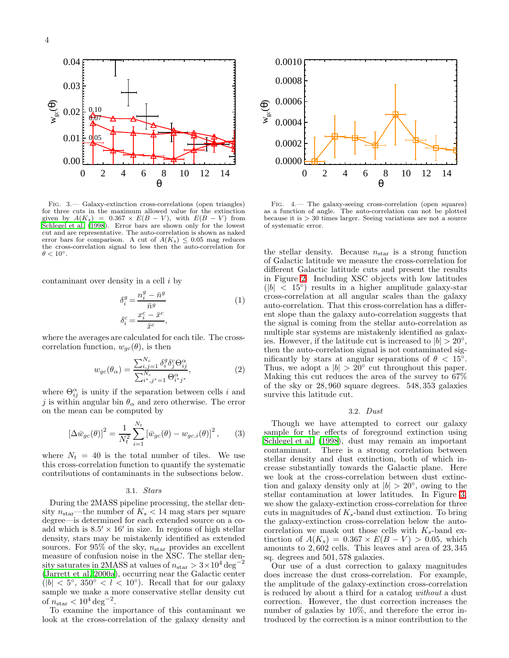

<span id="page-4-0"></span>Fig. 3.— Galaxy-extinction cross-correlations (open triangles) for three cuts in the maximum allowed value for the extinction given by  $A(K_s) = 0.367 \times E(B-V)$ , with  $E(B-V)$  from [Schlegel et al. \(1998\)](#page-13-27). Error bars are shown only for the lowest cut and are representative. The auto-correlation is shown as naked error bars for comparison. A cut of  $A(K_s) \leq 0.05$  mag reduces the cross-correlation signal to less then the auto-correlation for  $\theta < 10^{\circ}$ .

<span id="page-4-2"></span>contaminant over density in a cell i by

$$
\delta_i^g = \frac{n_i^g - \bar{n}^g}{\bar{n}^g}
$$
\n
$$
\delta_i^c = \frac{x_i^c - \bar{x}^c}{\bar{x}^c},
$$
\n(1)

where the averages are calculated for each tile. The crosscorrelation function,  $w_{qc}(\theta)$ , is then

$$
w_{gc}(\theta_{\alpha}) = \frac{\sum_{i,j=1}^{N_c} \delta_i^g \delta_j^c \Theta_{ij}^{\alpha}}{\sum_{i^*,j^*=1}^{N_c} \Theta_{i^*,j^*}^{\alpha}},
$$
(2)

where  $\Theta_{ij}^{\alpha}$  is unity if the separation between cells i and j is within angular bin  $\theta_{\alpha}$  and zero otherwise. The error on the mean can be computed by

$$
[\Delta \bar{w}_{gc}(\theta)]^2 = \frac{1}{N_t^2} \sum_{i=1}^{N_t} \left[ \bar{w}_{gc}(\theta) - w_{gc,i}(\theta) \right]^2, \qquad (3)
$$

where  $N_t = 40$  is the total number of tiles. We use this cross-correlation function to quantify the systematic contributions of contaminants in the subsections below.

#### 3.1. *Stars*

During the 2MASS pipeline processing, the stellar density  $n_{\text{star}}$ —the number of  $K_s < 14$  mag stars per square degree—is determined for each extended source on a coadd which is  $8.5' \times 16'$  in size. In regions of high stellar density, stars may be mistakenly identified as extended sources. For 95% of the sky,  $n_{\rm star}$  provides an excellent measure of confusion noise in the XSC. The stellar density saturates in 2MASS at values of  $n_{\text{star}} > 3 \times 10^4 \text{ deg}^{-2}$ [\(Jarrett et al. 2000a](#page-13-20)), occurring near the Galactic center  $(|b| < 5^{\circ}, 350^{\circ} < l < 10^{\circ}).$  Recall that for our galaxy sample we make a more conservative stellar density cut of  $n_{\text{star}} < 10^4 \text{ deg}^{-2}$ .

To examine the importance of this contaminant we look at the cross-correlation of the galaxy density and



<span id="page-4-1"></span>Fig. 4.— The galaxy-seeing cross-correlation (open squares) as a function of angle. The auto-correlation can not be plotted because it is > 30 times larger. Seeing variations are not a source of systematic error.

the stellar density. Because  $n_{\text{star}}$  is a strong function of Galactic latitude we measure the cross-correlation for different Galactic latitude cuts and present the results in Figure [2.](#page-3-2) Including XSC objects with low latitudes  $(|b| < 15°)$  results in a higher amplitude galaxy-star cross-correlation at all angular scales than the galaxy auto-correlation. That this cross-correlation has a different slope than the galaxy auto-correlation suggests that the signal is coming from the stellar auto-correlation as multiple star systems are mistakenly identified as galaxies. However, if the latitude cut is increased to  $|b| > 20^{\circ}$ , then the auto-correlation signal is not contaminated significantly by stars at angular separations of  $\theta$  < 15°. Thus, we adopt a  $|b| > 20^{\circ}$  cut throughout this paper. Making this cut reduces the area of the survey to 67% of the sky or 28, 960 square degrees. 548, 353 galaxies survive this latitude cut.

# 3.2. *Dust*

Though we have attempted to correct our galaxy sample for the effects of foreground extinction using [Schlegel et al. \(1998\)](#page-13-27), dust may remain an important contaminant. There is a strong correlation between stellar density and dust extinction, both of which increase substantially towards the Galactic plane. Here we look at the cross-correlation between dust extinction and galaxy density only at  $|b| > 20^{\circ}$ , owing to the stellar contamination at lower latitudes. In Figure [3,](#page-4-0) we show the galaxy-extinction cross-correlation for three cuts in magnitudes of  $K_s$ -band dust extinction. To bring the galaxy-extinction cross-correlation below the autocorrelation we mask out those cells with  $K_s$ -band extinction of  $A(K_s) = 0.367 \times E(B-V) > 0.05$ , which amounts to 2, 602 cells. This leaves and area of 23, 345 sq. degrees and 501, 578 galaxies.

Our use of a dust correction to galaxy magnitudes does increase the dust cross-correlation. For example, the amplitude of the galaxy-extinction cross-correlation is reduced by about a third for a catalog *without* a dust correction. However, the dust correction increases the number of galaxies by 10%, and therefore the error introduced by the correction is a minor contribution to the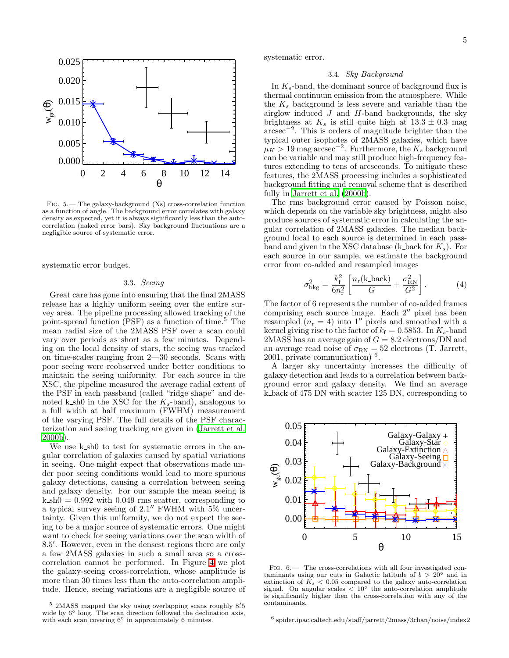

<span id="page-5-0"></span>Fig. 5.— The galaxy-background (Xs) cross-correlation function as a function of angle. The background error correlates with galaxy density as expected, yet it is always significantly less than the autocorrelation (naked error bars). Sky background fluctuations are a negligible source of systematic error.

systematic error budget.

# 3.3. *Seeing*

Great care has gone into ensuring that the final 2MASS release has a highly uniform seeing over the entire survey area. The pipeline processing allowed tracking of the point-spread function  $(PSF)$  as a function of time.<sup>5</sup> The mean radial size of the 2MASS PSF over a scan could vary over periods as short as a few minutes. Depending on the local density of stars, the seeing was tracked on time-scales ranging from 2—30 seconds. Scans with poor seeing were reobserved under better conditions to maintain the seeing uniformity. For each source in the XSC, the pipeline measured the average radial extent of the PSF in each passband (called "ridge shape" and denoted k sh0 in the XSC for the  $K_s$ -band), analogous to a full width at half maximum (FWHM) measurement of the varying PSF. The full details of the PSF characterization and seeing tracking are given in [\(Jarrett et al.](#page-13-18) [2000b](#page-13-18)).

We use k sh0 to test for systematic errors in the angular correlation of galaxies caused by spatial variations in seeing. One might expect that observations made under poor seeing conditions would lead to more spurious galaxy detections, causing a correlation between seeing and galaxy density. For our sample the mean seeing is  $k$  sh $0 = 0.992$  with 0.049 rms scatter, corresponding to a typical survey seeing of 2.1" FWHM with 5% uncertainty. Given this uniformity, we do not expect the seeing to be a major source of systematic errors. One might want to check for seeing variations over the scan width of 8.5 ′ . However, even in the densest regions there are only a few 2MASS galaxies in such a small area so a crosscorrelation cannot be performed. In Figure [4](#page-4-1) we plot the galaxy-seeing cross-correlation, whose amplitude is more than 30 times less than the auto-correlation amplitude. Hence, seeing variations are a negligible source of systematic error.

# 3.4. *Sky Background*

In  $K_s$ -band, the dominant source of background flux is thermal continuum emission from the atmosphere. While the  $K_s$  background is less severe and variable than the airglow induced  $J$  and  $H$ -band backgrounds, the sky brightness at  $K_s$  is still quite high at  $13.3 \pm 0.3$  mag arcsec<sup>−</sup><sup>2</sup> . This is orders of magnitude brighter than the typical outer isophotes of 2MASS galaxies, which have  $\mu_K > 19$  mag arcsec<sup>-2</sup>. Furthermore, the  $K_s$  background can be variable and may still produce high-frequency features extending to tens of arcseconds. To mitigate these features, the 2MASS processing includes a sophisticated background fitting and removal scheme that is described fully in [Jarrett et al. \(2000b](#page-13-18)).

The rms background error caused by Poisson noise, which depends on the variable sky brightness, might also produce sources of systematic error in calculating the angular correlation of 2MASS galaxies. The median background local to each source is determined in each passband and given in the XSC database (k back for  $K_s$ ). For each source in our sample, we estimate the background error from co-added and resampled images

$$
\sigma_{\text{bkg}}^2 = \frac{k_{\text{f}}^2}{6n_{\text{r}}^2} \left[ \frac{n_{\text{r}}(\text{k}\text{-back})}{G} + \frac{\sigma_{\text{RN}}^2}{G^2} \right].
$$
 (4)

The factor of 6 represents the number of co-added frames comprising each source image. Each 2′′ pixel has been resampled  $(n_r = 4)$  into 1'' pixels and smoothed with a kernel giving rise to the factor of  $k_f = 0.5853$ . In  $K_s$ -band 2MASS has an average gain of  $G = 8.2$  electrons/DN and an average read noise of  $\sigma_{\rm RN} = 52$  electrons (T. Jarrett, 2001, private communication) <sup>6</sup> .

A larger sky uncertainty increases the difficulty of galaxy detection and leads to a correlation between background error and galaxy density. We find an average k back of 475 DN with scatter 125 DN, corresponding to



<span id="page-5-1"></span>Fig. 6.— The cross-correlations with all four investigated contaminants using our cuts in Galactic latitude of  $b > 20^{\circ}$  and in extinction of  $\tilde{K_s}$  < 0.05 compared to the galaxy auto-correlation signal. On angular scales  $\langle 10^\circ$  the auto-correlation amplitude is significantly higher then the cross-correlation with any of the contaminants.

6 spider.ipac.caltech.edu/staff/jarrett/2mass/3chan/noise/index2

<sup>&</sup>lt;sup>5</sup> 2MASS mapped the sky using overlapping scans roughly 8.5 wide by  $6°$  long. The scan direction followed the declination axis, with each scan covering  $6°$  in approximately 6 minutes.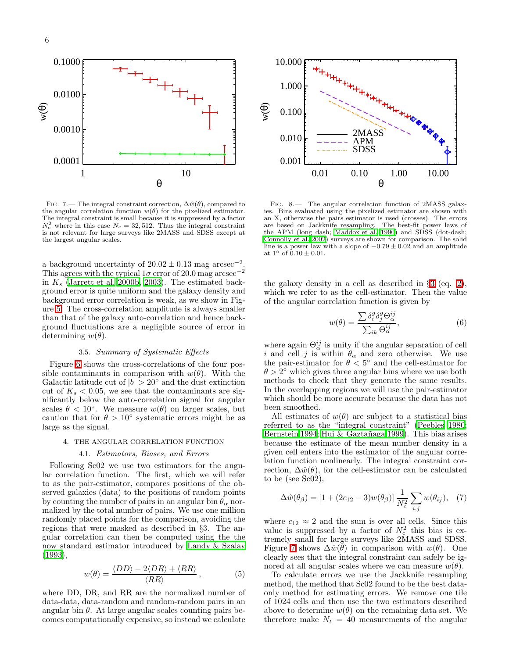

<span id="page-6-1"></span>FIG. 7.— The integral constraint correction,  $\Delta \hat{w}(\theta)$ , compared to the angular correlation function  $w(\theta)$  for the pixelized estimator. The integral constraint is small because it is suppressed by a factor  $N_c^2$  where in this case  $N_c = 32,512$ . Thus the integral constraint is not relevant for large surveys like 2MASS and SDSS except at the largest angular scales.

a background uncertainty of  $20.02 \pm 0.13$  mag arcsec<sup>-2</sup> . This agrees with the typical  $1\sigma$  error of 20.0 mag arcsec<sup>-2</sup> in  $K_s$  [\(Jarrett et al. 2000b,](#page-13-18) [2003\)](#page-13-26). The estimated background error is quite uniform and the galaxy density and background error correlation is weak, as we show in Figure [5.](#page-5-0) The cross-correlation amplitude is always smaller than that of the galaxy auto-correlation and hence background fluctuations are a negligible source of error in determining  $w(\theta)$ .

# 3.5. *Summary of Systematic Effects*

Figure [6](#page-5-1) shows the cross-correlations of the four possible contaminants in comparison with  $w(\theta)$ . With the Galactic latitude cut of  $|b| > 20^\circ$  and the dust extinction cut of  $K_s < 0.05$ , we see that the contaminants are significantly below the auto-correlation signal for angular scales  $\theta \sim 10^{\circ}$ . We measure  $w(\theta)$  on larger scales, but caution that for  $\theta > 10^{\circ}$  systematic errors might be as large as the signal.

#### 4. THE ANGULAR CORRELATION FUNCTION

#### 4.1. *Estimators, Biases, and Errors*

<span id="page-6-0"></span>Following Sc02 we use two estimators for the angular correlation function. The first, which we will refer to as the pair-estimator, compares positions of the observed galaxies (data) to the positions of random points by counting the number of pairs in an angular bin  $\theta_{\alpha}$  normalized by the total number of pairs. We use one million randomly placed points for the comparison, avoiding the regions that were masked as described in §3. The angular correlation can then be computed using the the now standard estimator introduced by [Landy & Szalay](#page-13-32) [\(1993\)](#page-13-32),

$$
w(\theta) = \frac{\langle DD \rangle - 2\langle DR \rangle + \langle RR \rangle}{\langle RR \rangle},\tag{5}
$$

where DD, DR, and RR are the normalized number of data-data, data-random and random-random pairs in an angular bin  $\theta$ . At large angular scales counting pairs becomes computationally expensive, so instead we calculate



<span id="page-6-2"></span>Fig. 8.— The angular correlation function of 2MASS galaxies. Bins evaluated using the pixelized estimator are shown with an X, otherwise the pairs estimator is used (crosses). The errors are based on Jackknife resampling. The best-fit power laws of the APM (long dash; [Maddox et al. 1990](#page-13-1)) and SDSS (dot-dash; [Connolly et al. 2002\)](#page-13-6) surveys are shown for comparison. The solid line is a power law with a slope of  $-0.79 \pm 0.02$  and an amplitude at  $1^{\circ}$  of  $0.10 \pm 0.01$ .

the galaxy density in a cell as described in §[3](#page-3-0) (eq. [2\)](#page-4-2), which we refer to as the cell-estimator. Then the value of the angular correlation function is given by

$$
w(\theta) = \frac{\sum \delta_i^g \delta_j^g \Theta_{\alpha}^{ij}}{\sum_{ik} \Theta_{\alpha}^{ij}},
$$
\n(6)

where again  $\Theta_{\alpha}^{ij}$  is unity if the angular separation of cell i and cell j is within  $\theta_{\alpha}$  and zero otherwise. We use the pair-estimator for  $\theta < 5^{\circ}$  and the cell-estimator for  $\theta > 2^{\circ}$  which gives three angular bins where we use both methods to check that they generate the same results. In the overlapping regions we will use the pair-estimator which should be more accurate because the data has not been smoothed.

All estimates of  $w(\theta)$  are subject to a statistical bias referred to as the "integral constraint" [\(Peebles 1980](#page-13-33); [Bernstein 1994;](#page-13-34) Hui & Gaztañaga 1999). This bias arises because the estimate of the mean number density in a given cell enters into the estimator of the angular correlation function nonlinearly. The integral constraint correction,  $\Delta \hat{w}(\theta)$ , for the cell-estimator can be calculated to be (see Sc02),

$$
\Delta \hat{w}(\theta_{\beta}) = [1 + (2c_{12} - 3)w(\theta_{\beta})] \frac{1}{N_c^2} \sum_{i,j} w(\theta_{ij}), \quad (7)
$$

where  $c_{12} \approx 2$  and the sum is over all cells. Since this value is suppressed by a factor of  $N_c^2$  this bias is extremely small for large surveys like 2MASS and SDSS. Figure [7](#page-6-1) shows  $\Delta \hat{w}(\theta)$  in comparison with  $w(\theta)$ . One clearly sees that the integral constraint can safely be ignored at all angular scales where we can measure  $w(\theta)$ .

To calculate errors we use the Jackknife resampling method, the method that Sc02 found to be the best dataonly method for estimating errors. We remove one tile of 1024 cells and then use the two estimators described above to determine  $w(\theta)$  on the remaining data set. We therefore make  $N_t = 40$  measurements of the angular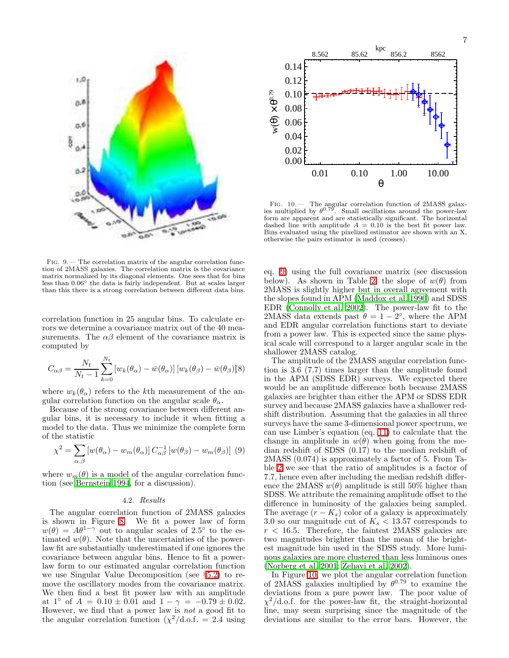

<span id="page-7-2"></span>Fig. 9.— The correlation matrix of the angular correlation function of 2MASS galaxies. The correlation matrix is the covariance matrix normalized by its diagonal elements. One sees that for bins less than 0.06◦ the data is fairly independent. But at scales larger than this there is a strong correlation between different data bins.

correlation function in 25 angular bins. To calculate errors we determine a covariance matrix out of the 40 measurements. The  $\alpha\beta$  element of the covariance matrix is computed by

$$
C_{\alpha\beta} = \frac{N_t}{N_t - 1} \sum_{k=0}^{N_t} \left[ w_k(\theta_\alpha) - \bar{w}(\theta_\alpha) \right] \left[ w_k(\theta_\beta) - \bar{w}(\theta_\beta) \right] \tag{8}
$$

where  $w_k(\theta_\alpha)$  refers to the kth measurement of the angular correlation function on the angular scale  $\theta_{\alpha}$ .

Because of the strong covariance between different angular bins, it is necessary to include it when fitting a model to the data. Thus we minimize the complete form of the statistic

$$
\chi^2 = \sum_{\alpha,\beta} \left[ w(\theta_\alpha) - w_m(\theta_\alpha) \right] C_{\alpha\beta}^{-1} \left[ w(\theta_\beta) - w_m(\theta_\beta) \right] \tag{9}
$$

<span id="page-7-0"></span>where  $w_m(\theta)$  is a model of the angular correlation function (see [Bernstein 1994,](#page-13-34) for a discussion).

#### 4.2. *Results*

The angular correlation function of 2MASS galaxies is shown in Figure [8.](#page-6-2) We fit a power law of form  $w(\theta) = A\theta^{1-\gamma}$  out to angular scales of 2.5° to the estimated  $w(\theta)$ . Note that the uncertainties of the powerlaw fit are substantially underestimated if one ignores the covariance between angular bins. Hence to fit a powerlaw form to our estimated angular correlation function we use Singular Value Decomposition (see §[5.2\)](#page-10-0) to remove the oscillatory modes from the covariance matrix. We then find a best fit power law with an amplitude at  $1°$  of  $A = 0.10 \pm 0.01$  and  $1 - \gamma = -0.79 \pm 0.02$ . However, we find that a power law is *not* a good fit to the angular correlation function  $(\chi^2/\text{d.o.f.} = 2.4 \text{ using})$ 



<span id="page-7-1"></span>Fig. 10.— The angular correlation function of 2MASS galaxies multiplied by  $\theta^{0.79}$ . Small oscillations around the power-law form are apparent and are statistically significant. The horizontal dashed line with amplitude  $A = 0.10$  is the best fit power law. Bins evaluated using the pixelized estimator are shown with an X, otherwise the pairs estimator is used (crosses).

eq. [9\)](#page-7-0) using the full covariance matrix (see discussion below). As shown in Table [2,](#page-8-0) the slope of  $w(\theta)$  from 2MASS is slightly higher but in overall agreement with the slopes found in APM [\(Maddox et al. 1990\)](#page-13-1) and SDSS EDR [\(Connolly et al. 2002\)](#page-13-6). The power-law fit to the 2MASS data extends past  $\hat{\theta} = 1 - 2^{\circ}$ , where the APM and EDR angular correlation functions start to deviate from a power law. This is expected since the same physical scale will correspond to a larger angular scale in the shallower 2MASS catalog.

The amplitude of the 2MASS angular correlation function is 3.6 (7.7) times larger than the amplitude found in the APM (SDSS EDR) surveys. We expected there would be an amplitude difference both because 2MASS galaxies are brighter than either the APM or SDSS EDR survey and because 2MASS galaxies have a shallower redshift distribution. Assuming that the galaxies in all three surveys have the same 3-dimensional power spectrum, we can use Limber's equation (eq. [11\)](#page-9-1) to calculate that the change in amplitude in  $w(\theta)$  when going from the median redshift of SDSS (0.17) to the median redshift of 2MASS (0.074) is approximately a factor of 5. From Table [2](#page-8-0) we see that the ratio of amplitudes is a factor of 7.7, hence even after including the median redshift difference the 2MASS  $w(\theta)$  amplitude is still 50% higher than SDSS. We attribute the remaining amplitude offset to the difference in luminosity of the galaxies being sampled. The average  $(r - K_s)$  color of a galaxy is approximately 3.0 so our magnitude cut of  $K_s < 13.57$  corresponds to  $r < 16.5$ . Therefore, the faintest 2MASS galaxies are two magnitudes brighter than the mean of the brightest magnitude bin used in the SDSS study. More luminous galaxies are more clustered than less luminous ones [\(Norberg et al. 2001;](#page-13-36) [Zehavi et al. 2002](#page-13-37)).

In Figure [10,](#page-7-1) we plot the angular correlation function of 2MASS galaxies multiplied by  $\theta^{0.79}$  to examine the deviations from a pure power law. The poor value of  $\chi^2/\text{d.o.f.}$  for the power-law fit, the straight-horizontal line, may seem surprising since the magnitude of the deviations are similar to the error bars. However, the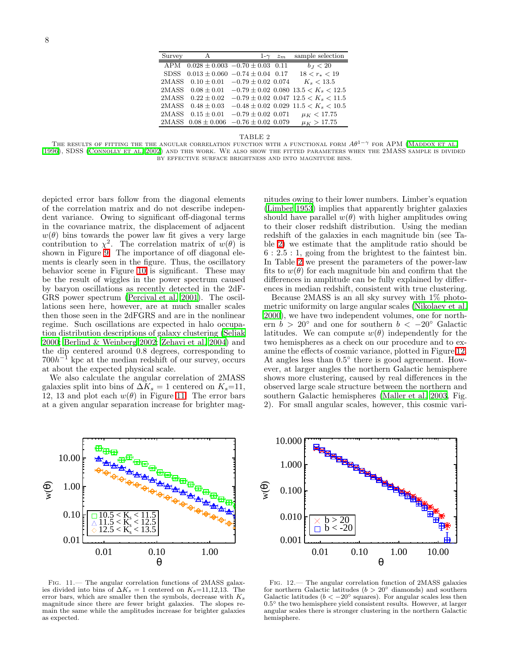| Survey      | A                                               |  | 1- $\gamma$ $z_m$ | sample selection                                                 |
|-------------|-------------------------------------------------|--|-------------------|------------------------------------------------------------------|
| APM         | $0.028 \pm 0.003 -0.70 \pm 0.03$ 0.11           |  |                   | $b_{J} < 20$                                                     |
| <b>SDSS</b> | $0.013 \pm 0.060 -0.74 \pm 0.04$ 0.17           |  |                   | $18 < r_* < 19$                                                  |
|             | $2MASS$ $0.10 \pm 0.01$ $-0.79 \pm 0.02$ 0.074  |  |                   | $K_{s} < 13.5$                                                   |
|             |                                                 |  |                   | 2MASS $0.08 \pm 0.01$ $-0.79 \pm 0.02$ 0.080 $13.5 < K_s < 12.5$ |
| 2MASS –     | $0.22 \pm 0.02$                                 |  |                   | $-0.79 \pm 0.02$ 0.047 12.5 < K <sub>s</sub> < 11.5              |
| 2MASS -     | $0.48 + 0.03$                                   |  |                   | $-0.48 \pm 0.02$ 0.029 11.5 $\lt K_s \lt 10.5$                   |
| 2MASS -     |                                                 |  |                   | $0.15 \pm 0.01$ $-0.79 \pm 0.02$ 0.071 $\mu_K < 17.75$           |
|             | $2MASS$ $0.08 \pm 0.006$ $-0.76 \pm 0.02$ 0.079 |  |                   | $\mu_K > 17.75$                                                  |
|             |                                                 |  |                   |                                                                  |

TABLE 2

<span id="page-8-0"></span>THE RESULTS OF FITTING THE THE ANGULAR CORRELATION FUNCTION WITH A FUNCTIONAL FORM  $A\theta^{1-\gamma}$  for APM (MADDOX ET AL. [1996](#page-13-2)), SDSS [\(Connolly et al. 2002\)](#page-13-6) and this work. We also show the fitted parameters when the 2MASS sample is divided by effective surface brightness and into magnitude bins.

depicted error bars follow from the diagonal elements of the correlation matrix and do not describe independent variance. Owing to significant off-diagonal terms in the covariance matrix, the displacement of adjacent  $w(\theta)$  bins towards the power law fit gives a very large contribution to  $\chi^2$ . The correlation matrix of  $w(\theta)$  is shown in Figure [9.](#page-7-2) The importance of off diagonal elements is clearly seen in the figure. Thus, the oscillatory behavior scene in Figure [10](#page-7-1) is significant. These may be the result of wiggles in the power spectrum caused by baryon oscillations as recently detected in the 2dF-GRS power spectrum [\(Percival et al. 2001\)](#page-13-38). The oscillations seen here, however, are at much smaller scales then those seen in the 2dFGRS and are in the nonlinear regime. Such oscillations are expected in halo occupation distribution descriptions of galaxy clustering [\(Seljak](#page-13-39) [2000;](#page-13-39) [Berlind & Weinberg 2002;](#page-13-40) [Zehavi et al. 2004\)](#page-13-41) and the dip centered around 0.8 degrees, corresponding to  $700h^{-1}$  kpc at the median redshift of our survey, occurs at about the expected physical scale.

We also calculate the angular correlation of 2MASS galaxies split into bins of  $\Delta K_s = 1$  centered on  $K_s=11$ , 12, 13 and plot each  $w(\theta)$  in Figure [11.](#page-8-1) The error bars at a given angular separation increase for brighter mag-

nitudes owing to their lower numbers. Limber's equation [\(Limber 1953](#page-13-9)) implies that apparently brighter galaxies should have parallel  $w(\theta)$  with higher amplitudes owing to their closer redshift distribution. Using the median redshift of the galaxies in each magnitude bin (see Table [2\)](#page-8-0) we estimate that the amplitude ratio should be 6 : 2.5 : 1, going from the brightest to the faintest bin. In Table [2](#page-8-0) we present the parameters of the power-law fits to  $w(\theta)$  for each magnitude bin and confirm that the differences in amplitude can be fully explained by differences in median redshift, consistent with true clustering.

Because 2MASS is an all sky survey with 1% photometric uniformity on large angular scales [\(Nikolaev et al.](#page-13-42) [2000\)](#page-13-42), we have two independent volumes, one for northern  $b > 20°$  and one for southern  $b < -20°$  Galactic latitudes. We can compute  $w(\theta)$  independently for the two hemispheres as a check on our procedure and to examine the effects of cosmic variance, plotted in Figure [12.](#page-8-2) At angles less than  $0.5^{\circ}$  there is good agreement. However, at larger angles the northern Galactic hemisphere shows more clustering, caused by real differences in the observed large scale structure between the northern and southern Galactic hemispheres [\(Maller et al. 2003,](#page-13-21) Fig. 2). For small angular scales, however, this cosmic vari-



<span id="page-8-1"></span>Fig. 11.— The angular correlation functions of 2MASS galaxies divided into bins of  $\Delta K_s = 1$  centered on  $K_s=11,12,13$ . The error bars, which are smaller then the symbols, decrease with  $K_s$ magnitude since there are fewer bright galaxies. The slopes remain the same while the amplitudes increase for brighter galaxies as expected.



<span id="page-8-2"></span>Fig. 12.— The angular correlation function of 2MASS galaxies for northern Galactic latitudes ( $b > 20°$  diamonds) and southern Galactic latitudes ( $b < -20^\circ$  squares). For angular scales less then 0.5° the two hemisphere yield consistent results. However, at larger angular scales there is stronger clustering in the northern Galactic hemisphere.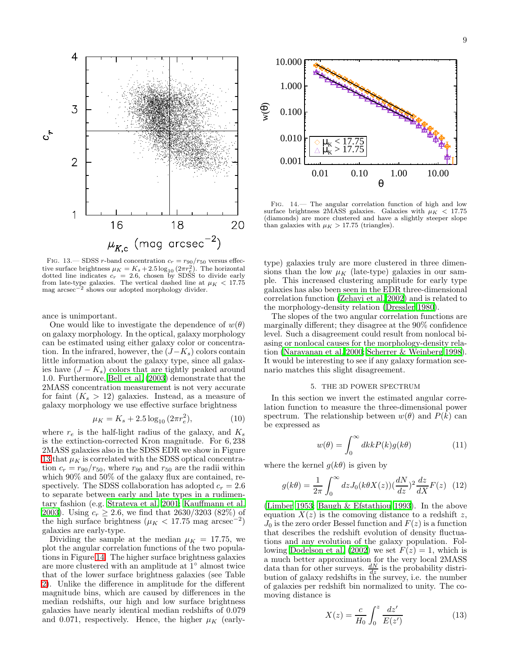

<span id="page-9-2"></span>FIG. 13.— SDSS r-band concentration  $c_r = r_{90}/r_{50}$  versus effective surface brightness  $\mu_K = K_s + 2.5 \log_{10} (2\pi r_e^2)$ . The horizontal dotted line indicates  $c_r = 2.6$ , chosen by SDSS to divide early from late-type galaxies. The vertical dashed line at  $\mu_K < 17.75$ mag arcsec<sup>-2</sup> shows our adopted morphology divider.

ance is unimportant.

One would like to investigate the dependence of  $w(\theta)$ on galaxy morphology. In the optical, galaxy morphology can be estimated using either galaxy color or concentration. In the infrared, however, the  $(J-K_s)$  colors contain little information about the galaxy type, since all galaxies have  $(J - K_s)$  colors that are tightly peaked around 1.0. Furthermore, [Bell et al. \(2003\)](#page-13-23) demonstrate that the 2MASS concentration measurement is not very accurate for faint  $(K_s > 12)$  galaxies. Instead, as a measure of galaxy morphology we use effective surface brightness

$$
\mu_K = K_s + 2.5 \log_{10} (2\pi r_e^2),\tag{10}
$$

where  $r_e$  is the half-light radius of the galaxy, and  $K_s$ is the extinction-corrected Kron magnitude. For 6, 238 2MASS galaxies also in the SDSS EDR we show in Figure [13](#page-9-2) that  $\mu_K$  is correlated with the SDSS optical concentration  $c_r = r_{90}/r_{50}$ , where  $r_{90}$  and  $r_{50}$  are the radii within which 90% and 50% of the galaxy flux are contained, respectively. The SDSS collaboration has adopted  $c_r = 2.6$ to separate between early and late types in a rudimentary fashion (e.g. [Strateva et al. 2001;](#page-13-43) [Kauffmann et al.](#page-13-44) [2003\)](#page-13-44). Using  $c_r > 2.6$ , we find that 2630/3203 (82%) of the high surface brightness ( $\mu_K < 17.75$  mag arcsec<sup>-2</sup>) galaxies are early-type.

Dividing the sample at the median  $\mu_K = 17.75$ , we plot the angular correlation functions of the two populations in Figure [14.](#page-9-3) The higher surface brightness galaxies are more clustered with an amplitude at 1◦ almost twice that of the lower surface brightness galaxies (see Table [2\)](#page-8-0). Unlike the difference in amplitude for the different magnitude bins, which are caused by differences in the median redshifts, our high and low surface brightness galaxies have nearly identical median redshifts of 0.079 and 0.071, respectively. Hence, the higher  $\mu_K$  (early-



<span id="page-9-3"></span>Fig. 14.— The angular correlation function of high and low surface brightness 2MASS galaxies. Galaxies with  $\mu_K$  < 17.75 (diamonds) are more clustered and have a slightly steeper slope than galaxies with  $\mu_K > 17.75$  (triangles).

type) galaxies truly are more clustered in three dimensions than the low  $\mu_K$  (late-type) galaxies in our sample. This increased clustering amplitude for early type galaxies has also been seen in the EDR three-dimensional correlation function [\(Zehavi et al. 2002\)](#page-13-37) and is related to the morphology-density relation [\(Dressler 1980](#page-13-45)).

The slopes of the two angular correlation functions are marginally different; they disagree at the 90% confidence level. Such a disagreement could result from nonlocal biasing or nonlocal causes for the morphology-density relation [\(Narayanan et al. 2000](#page-13-46); [Scherrer & Weinberg 1998](#page-13-47)). It would be interesting to see if any galaxy formation scenario matches this slight disagreement.

#### 5. THE 3D POWER SPECTRUM

<span id="page-9-0"></span>In this section we invert the estimated angular correlation function to measure the three-dimensional power spectrum. The relationship between  $w(\theta)$  and  $P(k)$  can be expressed as

$$
w(\theta) = \int_0^\infty dk k P(k) g(k\theta)
$$
 (11)

<span id="page-9-1"></span>where the kernel  $g(k\theta)$  is given by

$$
g(k\theta) = \frac{1}{2\pi} \int_0^\infty dz J_0(k\theta X(z)) \left(\frac{dN}{dz}\right)^2 \frac{dz}{dX} F(z) \tag{12}
$$

<span id="page-9-4"></span>[\(Limber 1953;](#page-13-9) [Baugh & Efstathiou 1993\)](#page-13-11). In the above equation  $X(z)$  is the comoving distance to a redshift z,  $J_0$  is the zero order Bessel function and  $F(z)$  is a function that describes the redshift evolution of density fluctuations and any evolution of the galaxy population. Fol-lowing [Dodelson et al. \(2002](#page-13-19)) we set  $F(z) = 1$ , which is a much better approximation for the very local 2MASS data than for other surveys.  $\frac{dN}{dz}$  is the probability distribution of galaxy redshifts in the survey, i.e. the number of galaxies per redshift bin normalized to unity. The comoving distance is

$$
X(z) = \frac{c}{H_0} \int_0^z \frac{dz'}{E(z')}
$$
 (13)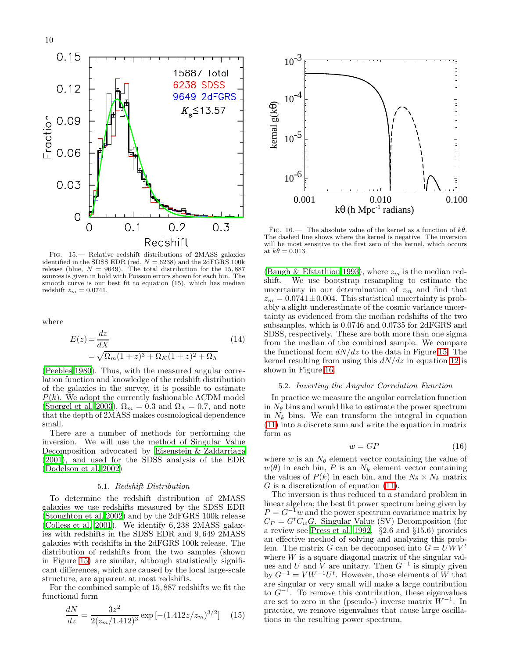

<span id="page-10-1"></span>Fig. 15.— Relative redshift distributions of 2MASS galaxies identified in the SDSS EDR (red,  $N = 6238$ ) and the 2dFGRS 100k release (blue,  $N = 9649$ ). The total distribution for the 15,887 sources is given in bold with Poisson errors shown for each bin. The smooth curve is our best fit to equation (15), which has median redshift  $z_m = 0.0741$ .

where

$$
E(z) = \frac{dz}{dX}
$$
  
=  $\sqrt{\Omega_m (1+z)^3 + \Omega_K (1+z)^2 + \Omega_\Lambda}$  (14)

[\(Peebles 1980](#page-13-33)). Thus, with the measured angular correlation function and knowledge of the redshift distribution of the galaxies in the survey, it is possible to estimate  $P(k)$ . We adopt the currently fashionable  $\Lambda$ CDM model [\(Spergel et al. 2003\)](#page-13-48),  $\Omega_m = 0.3$  and  $\Omega_{\Lambda} = 0.7$ , and note that the depth of 2MASS makes cosmological dependence small.

There are a number of methods for performing the inversion. We will use the method of Singular Value Decomposition advocated by [Eisenstein & Zaldarriaga](#page-13-14) [\(2001\)](#page-13-14), and used for the SDSS analysis of the EDR [\(Dodelson et al. 2002\)](#page-13-19)

#### 5.1. *Redshift Distribution*

To determine the redshift distribution of 2MASS galaxies we use redshifts measured by the SDSS EDR [\(Stoughton et al. 2002\)](#page-13-8) and by the 2dFGRS 100k release [\(Colless et al. 2001\)](#page-13-30). We identify 6, 238 2MASS galaxies with redshifts in the SDSS EDR and 9, 649 2MASS galaxies with redshifts in the 2dFGRS 100k release. The distribution of redshifts from the two samples (shown in Figure [15\)](#page-10-1) are similar, although statistically significant differences, which are caused by the local large-scale structure, are apparent at most redshifts.

For the combined sample of 15, 887 redshifts we fit the functional form

$$
\frac{dN}{dz} = \frac{3z^2}{2(z_m/1.412)^3} \exp\left[-(1.412z/z_m)^{3/2}\right] \quad (15)
$$



<span id="page-10-2"></span>FIG. 16.— The absolute value of the kernel as a function of  $k\theta$ . The dashed line shows where the kernel is negative. The inversion will be most sensitive to the first zero of the kernel, which occurs at  $k\theta = 0.013$ .

[\(Baugh & Efstathiou 1993\)](#page-13-11), where  $z_m$  is the median redshift. We use bootstrap resampling to estimate the uncertainty in our determination of  $z_m$  and find that  $z_m = 0.0741 \pm 0.004$ . This statistical uncertainty is probably a slight underestimate of the cosmic variance uncertainty as evidenced from the median redshifts of the two subsamples, which is 0.0746 and 0.0735 for 2dFGRS and SDSS, respectively. These are both more than one sigma from the median of the combined sample. We compare the functional form  $dN/dz$  to the data in Figure [15.](#page-10-1) The kernel resulting from using this  $dN/dz$  in equation [12](#page-9-4) is shown in Figure [16.](#page-10-2)

#### 5.2. *Inverting the Angular Correlation Function*

<span id="page-10-0"></span>In practice we measure the angular correlation function in  $N_{\theta}$  bins and would like to estimate the power spectrum in  $N_k$  bins. We can transform the integral in equation [\(11\)](#page-9-1) into a discrete sum and write the equation in matrix form as

$$
w = GP \tag{16}
$$

where w is an  $N_{\theta}$  element vector containing the value of  $w(\theta)$  in each bin, P is an  $N_k$  element vector containing the values of  $P(k)$  in each bin, and the  $N_{\theta} \times N_k$  matrix  $G$  is a discretization of equation [\(11\)](#page-9-1).

The inversion is thus reduced to a standard problem in linear algebra; the best fit power spectrum being given by  $P = G^{-1}w$  and the power spectrum covariance matrix by  $C_P = G^t C_w G$ . Singular Value (SV) Decomposition (for a review see [Press et al. 1992,](#page-13-49) §2.6 and §15.6) provides an effective method of solving and analyzing this problem. The matrix G can be decomposed into  $G = UW V^t$ where  $W$  is a square diagonal matrix of the singular values and U and V are unitary. Then  $G^{-1}$  is simply given<br>by  $G^{-1} = VW^{-1}U^{t}$ . However, those elements of W that are singular or very small will make a large contribution to  $G^{-1}$ . To remove this contribution, these eigenvalues are set to zero in the (pseudo-) inverse matrix  $W^{-1}$ . In practice, we remove eigenvalues that cause large oscillations in the resulting power spectrum.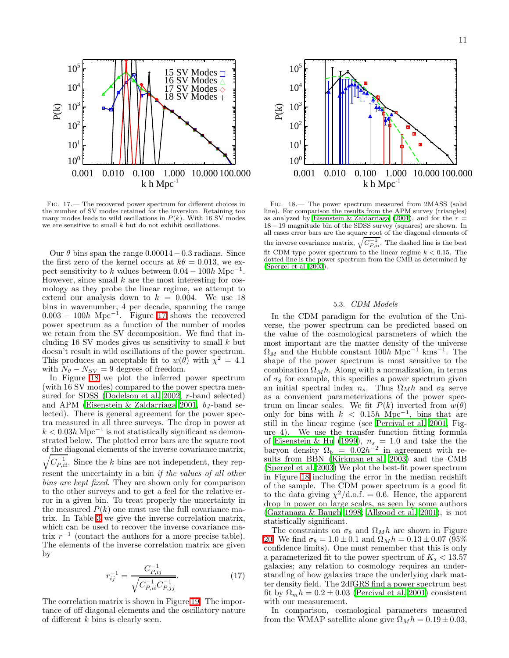

<span id="page-11-0"></span>Fig. 17.— The recovered power spectrum for different choices in the number of SV modes retained for the inversion. Retaining too many modes leads to wild oscillations in  $P(k)$ . With 16 SV modes we are sensitive to small  $k$  but do not exhibit oscillations.

Our  $\theta$  bins span the range 0.00014 − 0.3 radians. Since the first zero of the kernel occurs at  $k\theta = 0.013$ , we expect sensitivity to k values between  $0.04 - 100h \text{ Mpc}^{-1}$ . However, since small  $k$  are the most interesting for cosmology as they probe the linear regime, we attempt to extend our analysis down to  $k = 0.004$ . We use 18 bins in wavenumber, 4 per decade, spanning the range 0.003 − 100h Mpc<sup>−</sup><sup>1</sup> . Figure [17](#page-11-0) shows the recovered power spectrum as a function of the number of modes we retain from the SV decomposition. We find that including 16 SV modes gives us sensitivity to small  $k$  but doesn't result in wild oscillations of the power spectrum. This produces an acceptable fit to  $w(\theta)$  with  $\chi^2 = 4.1$ with  $N_{\theta} - N_{SV} = 9$  degrees of freedom.

In Figure [18](#page-11-1) we plot the inferred power spectrum (with 16 SV modes) compared to the power spectra measured for SDSS [\(Dodelson et al. 2002,](#page-13-19) r-band selected) and APM [\(Eisenstein & Zaldarriaga 2001](#page-13-14),  $b_J$ -band selected). There is general agreement for the power spectra measured in all three surveys. The drop in power at  $k < 0.03h{\rm\,Mpc^{-1}}$  is not statistically significant as demonstrated below. The plotted error bars are the square root of the diagonal elements of the inverse covariance matrix,  $\sqrt{C_{P,ii}^{-1}}$ . Since the k bins are not independent, they represent the uncertainty in a bin *if the values of all other bins are kept fixed*. They are shown only for comparison to the other surveys and to get a feel for the relative error in a given bin. To treat properly the uncertainty in the measured  $P(k)$  one must use the full covariance matrix. In Table [3](#page-14-0) we give the inverse correlation matrix, which can be used to recover the inverse covariance matrix  $r^{-1}$  (contact the authors for a more precise table). The elements of the inverse correlation matrix are given by

$$
r_{ij}^{-1} = \frac{C_{P,ij}^{-1}}{\sqrt{C_{P,ii}^{-1} C_{P,jj}^{-1}}}.
$$
\n(17)

The correlation matrix is shown in Figure [19.](#page-12-1) The importance of off diagonal elements and the oscillatory nature of different  $k$  bins is clearly seen.



<span id="page-11-1"></span>Fig. 18.— The power spectrum measured from 2MASS (solid line). For comparison the results from the APM survey (triangles) as analyzed by [Eisenstein & Zaldarriaga \(2001](#page-13-14)), and for the  $r =$ 18 − 19 magnitude bin of the SDSS survey (squares) are shown. In all cases error bars are the square root of the diagonal elements of the inverse covariance matrix,  $\sqrt{C_{P,ii}^{-1}}$ . The dashed line is the best fit CDM type power spectrum to the linear regime  $k < 0.15$ . The dotted line is the power spectrum from the CMB as determined by [\(Spergel et al. 2003](#page-13-48)).

# 5.3. *CDM Models*

In the CDM paradigm for the evolution of the Universe, the power spectrum can be predicted based on the value of the cosmological parameters of which the most important are the matter density of the universe  $\Omega_M$  and the Hubble constant 100h Mpc<sup>-1</sup> kms<sup>-1</sup>. The shape of the power spectrum is most sensitive to the combination  $\Omega_M h$ . Along with a normalization, in terms of  $\sigma_8$  for example, this specifies a power spectrum given an initial spectral index  $n_s$ . Thus  $\Omega_M h$  and  $\sigma_8$  serve as a convenient parameterizations of the power spectrum on linear scales. We fit  $P(k)$  inverted from  $w(\theta)$ only for bins with  $k$  < 0.15h Mpc<sup>-1</sup>, bins that are still in the linear regime (see [Percival et al. 2001,](#page-13-38) Figure 4). We use the transfer function fitting formula of [Eisenstein & Hu \(1999\)](#page-13-50),  $n_s = 1.0$  and take the the baryon density  $\Omega_b = 0.02h^{-2}$  in agreement with results from BBN [\(Kirkman et al. 2003\)](#page-13-51) and the CMB [\(Spergel et al. 2003\)](#page-13-48) We plot the best-fit power spectrum in Figure [18](#page-11-1) including the error in the median redshift of the sample. The CDM power spectrum is a good fit to the data giving  $\chi^2/\text{d.o.f.} = 0.6$ . Hence, the apparent drop in power on large scales, as seen by some authors [\(Gaztanaga & Baugh 1998;](#page-13-52) [Allgood et al. 2001\)](#page-13-17), is not statistically significant.

The constraints on  $\sigma_8$  and  $\Omega_M h$  are shown in Figure [20.](#page-12-2) We find  $\sigma_8 = 1.0 \pm 0.1$  and  $\Omega_M h = 0.13 \pm 0.07$  (95%) confidence limits). One must remember that this is only a parameterized fit to the power spectrum of  $K_s < 13.57$ galaxies; any relation to cosmology requires an understanding of how galaxies trace the underlying dark matter density field. The 2dfGRS find a power spectrum best fit by  $\Omega_m h = 0.2 \pm 0.03$  [\(Percival et al. 2001\)](#page-13-38) consistent with our measurement.

In comparison, cosmological parameters measured from the WMAP satellite alone give  $\Omega_M h = 0.19 \pm 0.03$ ,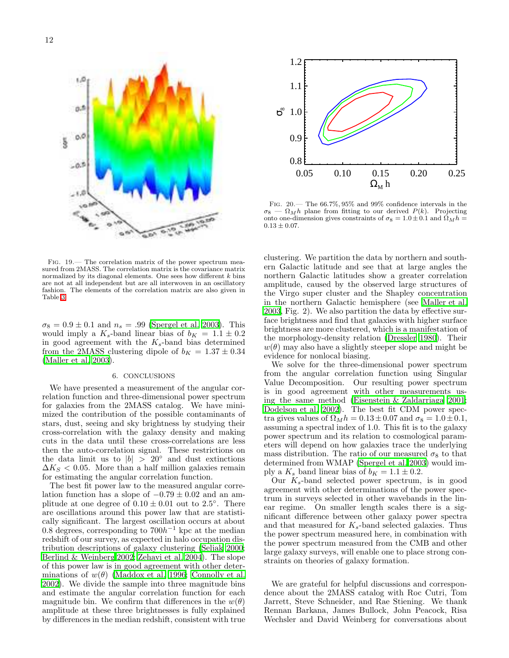

<span id="page-12-1"></span>Fig. 19.— The correlation matrix of the power spectrum measured from 2MASS. The correlation matrix is the covariance matrix normalized by its diagonal elements. One sees how different  $k$  bins are not at all independent but are all interwoven in an oscillatory fashion. The elements of the correlation matrix are also given in Table [3.](#page-14-0)

 $\sigma_8 = 0.9 \pm 0.1$  and  $n_s = .99$  [\(Spergel et al. 2003\)](#page-13-48). This would imply a  $K_s$ -band linear bias of  $b_K = 1.1 \pm 0.2$ in good agreement with the  $K_s$ -band bias determined from the 2MASS clustering dipole of  $b_K = 1.37 \pm 0.34$ [\(Maller et al. 2003\)](#page-13-21).

# 6. CONCLUSIONS

<span id="page-12-0"></span>We have presented a measurement of the angular correlation function and three-dimensional power spectrum for galaxies from the 2MASS catalog. We have minimized the contribution of the possible contaminants of stars, dust, seeing and sky brightness by studying their cross-correlation with the galaxy density and making cuts in the data until these cross-correlations are less then the auto-correlation signal. These restrictions on the data limit us to  $|b| > 20°$  and dust extinctions  $\Delta K_S < 0.05$ . More than a half million galaxies remain for estimating the angular correlation function.

The best fit power law to the measured angular correlation function has a slope of  $-0.79 \pm 0.02$  and an amplitude at one degree of  $0.10 \pm 0.01$  out to 2.5°. There are oscillations around this power law that are statistically significant. The largest oscillation occurs at about 0.8 degrees, corresponding to  $700h^{-1}$  kpc at the median redshift of our survey, as expected in halo occupation distribution descriptions of galaxy clustering [\(Seljak 2000;](#page-13-39) [Berlind & Weinberg 2002;](#page-13-40) [Zehavi et al. 2004\)](#page-13-41). The slope of this power law is in good agreement with other determinations of  $w(\theta)$  [\(Maddox et al. 1996;](#page-13-2) [Connolly et al.](#page-13-6) [2002\)](#page-13-6). We divide the sample into three magnitude bins and estimate the angular correlation function for each magnitude bin. We confirm that differences in the  $w(\theta)$ amplitude at these three brightnesses is fully explained by differences in the median redshift, consistent with true



<span id="page-12-2"></span>Fig. 20.— The 66.7%, 95% and 99% confidence intervals in the  $\sigma_8 - \Omega_M h$  plane from fitting to our derived  $P(k)$ . Projecting onto one-dimension gives constraints of  $\sigma_8 = 1.0 \pm 0.1$  and  $\Omega_M h =$  $0.13 \pm 0.07$ .

clustering. We partition the data by northern and southern Galactic latitude and see that at large angles the northern Galactic latitudes show a greater correlation amplitude, caused by the observed large structures of the Virgo super cluster and the Shapley concentration in the northern Galactic hemisphere (see [Maller et al.](#page-13-21) [2003,](#page-13-21) Fig. 2). We also partition the data by effective surface brightness and find that galaxies with higher surface brightness are more clustered, which is a manifestation of the morphology-density relation [\(Dressler 1980](#page-13-45)). Their  $w(\theta)$  may also have a slightly steeper slope and might be evidence for nonlocal biasing.

We solve for the three-dimensional power spectrum from the angular correlation function using Singular Value Decomposition. Our resulting power spectrum is in good agreement with other measurements using the same method [\(Eisenstein & Zaldarriaga 2001](#page-13-14); [Dodelson et al. 2002\)](#page-13-19). The best fit CDM power spectra gives values of  $\Omega_M h = 0.13 \pm 0.07$  and  $\sigma_8 = 1.0 \pm 0.1$ , assuming a spectral index of 1.0. This fit is to the galaxy power spectrum and its relation to cosmological parameters will depend on how galaxies trace the underlying mass distribution. The ratio of our measured  $\sigma_8$  to that determined from WMAP [\(Spergel et al. 2003\)](#page-13-48) would imply a  $K_s$  band linear bias of  $b_K = 1.1 \pm 0.2$ .

Our  $K_s$ -band selected power spectrum, is in good agreement with other determinations of the power spectrum in surveys selected in other wavebands in the linear regime. On smaller length scales there is a significant difference between other galaxy power spectra and that measured for  $K_s$ -band selected galaxies. Thus the power spectrum measured here, in combination with the power spectrum measured from the CMB and other large galaxy surveys, will enable one to place strong constraints on theories of galaxy formation.

We are grateful for helpful discussions and correspondence about the 2MASS catalog with Roc Cutri, Tom Jarrett, Steve Schneider, and Rae Stiening. We thank Rennan Barkana, James Bullock, John Peacock, Risa Wechsler and David Weinberg for conversations about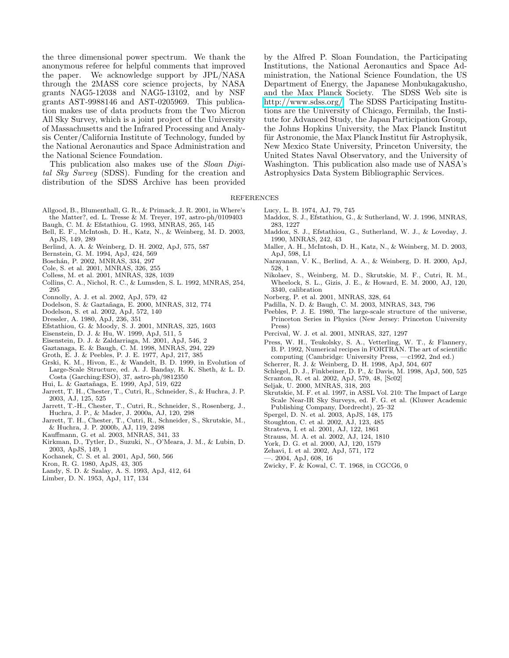the three dimensional power spectrum. We thank the anonymous referee for helpful comments that improved the paper. We acknowledge support by JPL/NASA through the 2MASS core science projects, by NASA grants NAG5-12038 and NAG5-13102, and by NSF grants AST-9988146 and AST-0205969. This publication makes use of data products from the Two Micron All Sky Survey, which is a joint project of the University of Massachusetts and the Infrared Processing and Analysis Center/California Institute of Technology, funded by the National Aeronautics and Space Administration and the National Science Foundation.

This publication also makes use of the *Sloan Digital Sky Survey* (SDSS). Funding for the creation and distribution of the SDSS Archive has been provided

by the Alfred P. Sloan Foundation, the Participating Institutions, the National Aeronautics and Space Administration, the National Science Foundation, the US Department of Energy, the Japanese Monbukagakusho, and the Max Planck Society. The SDSS Web site is [http://www.sdss.org/.](http://www.sdss.org/) The SDSS Participating Institutions are the University of Chicago, Fermilab, the Institute for Advanced Study, the Japan Participation Group, the Johns Hopkins University, the Max Planck Institut für Astronomie, the Max Planck Institut für Astrophysik, New Mexico State University, Princeton University, the United States Naval Observatory, and the University of Washington. This publication also made use of NASA's Astrophysics Data System Bibliographic Services.

#### <span id="page-13-21"></span><span id="page-13-10"></span><span id="page-13-2"></span><span id="page-13-1"></span>REFERENCES

- <span id="page-13-17"></span>Allgood, B., Blumenthall, G. R., & Primack, J. R. 2001, in Where's
- the Matter?, ed. L. Tresse & M. Treyer, 197, astro-ph/0109403
- <span id="page-13-11"></span>Baugh, C. M. & Efstathiou, G. 1993, MNRAS, 265, 145
- <span id="page-13-23"></span>Bell, E. F., McIntosh, D. H., Katz, N., & Weinberg, M. D. 2003, ApJS, 149, 289
- <span id="page-13-40"></span>Berlind, A. A. & Weinberg, D. H. 2002, ApJ, 575, 587
- <span id="page-13-34"></span>Bernstein, G. M. 1994, ApJ, 424, 569
- <span id="page-13-4"></span>Boschán, P. 2002, MNRAS, 334, 297
- <span id="page-13-29"></span>Cole, S. et al. 2001, MNRAS, 326, 255
- <span id="page-13-30"></span>Colless, M. et al. 2001, MNRAS, 328, 1039
- <span id="page-13-3"></span>Collins, C. A., Nichol, R. C., & Lumsden, S. L. 1992, MNRAS, 254, 295
- <span id="page-13-6"></span>Connolly, A. J. et al. 2002, ApJ, 579, 42
- <span id="page-13-12"></span>Dodelson, S. & Gaztañaga, E. 2000, MNRAS, 312, 774
- <span id="page-13-19"></span>Dodelson, S. et al. 2002, ApJ, 572, 140
- <span id="page-13-45"></span>Dressler, A. 1980, ApJ, 236, 351
- <span id="page-13-13"></span>Efstathiou, G. & Moody, S. J. 2001, MNRAS, 325, 1603
- <span id="page-13-50"></span>Eisenstein, D. J. & Hu, W. 1999, ApJ, 511, 5
- <span id="page-13-14"></span>Eisenstein, D. J. & Zaldarriaga, M. 2001, ApJ, 546, 2
- <span id="page-13-52"></span>Gaztanaga, E. & Baugh, C. M. 1998, MNRAS, 294, 229
- Groth, E. J. & Peebles, P. J. E. 1977, ApJ, 217, 385
- <span id="page-13-31"></span><span id="page-13-0"></span>Grski, K. M., Hivon, E., & Wandelt, B. D. 1999, in Evolution of Large-Scale Structure, ed. A. J. Banday, R. K. Sheth, & L. D. Costa (Garching:ESO), 37, astro-ph/9812350
- <span id="page-13-35"></span>Hui, L. & Gaztañaga, E. 1999, ApJ, 519, 622
- <span id="page-13-26"></span>Jarrett, T. H., Chester, T., Cutri, R., Schneider, S., & Huchra, J. P. 2003, AJ, 125, 525
- <span id="page-13-20"></span>Jarrett, T.-H., Chester, T., Cutri, R., Schneider, S., Rosenberg, J., Huchra, J. P., & Mader, J. 2000a, AJ, 120, 298
- <span id="page-13-18"></span>Jarrett, T. H., Chester, T., Cutri, R., Schneider, S., Skrutskie, M., & Huchra, J. P. 2000b, AJ, 119, 2498
- <span id="page-13-44"></span>Kauffmann, G. et al. 2003, MNRAS, 341, 33
- <span id="page-13-51"></span>Kirkman, D., Tytler, D., Suzuki, N., O'Meara, J. M., & Lubin, D. 2003, ApJS, 149, 1
- Kochanek, C. S. et al. 2001, ApJ, 560, 566
- <span id="page-13-32"></span><span id="page-13-28"></span><span id="page-13-25"></span>Kron, R. G. 1980, ApJS, 43, 305
- Landy, S. D. & Szalay, A. S. 1993, ApJ, 412, 64
- <span id="page-13-9"></span>Limber, D. N. 1953, ApJ, 117, 134
- Lucy, L. B. 1974, AJ, 79, 745
- Maddox, S. J., Efstathiou, G., & Sutherland, W. J. 1996, MNRAS, 283, 1227
- Maddox, S. J., Efstathiou, G., Sutherland, W. J., & Loveday, J. 1990, MNRAS, 242, 43
- Maller, A. H., McIntosh, D. H., Katz, N., & Weinberg, M. D. 2003, ApJ, 598, L1
- <span id="page-13-46"></span>Narayanan, V. K., Berlind, A. A., & Weinberg, D. H. 2000, ApJ, 528, 1
- <span id="page-13-42"></span>Nikolaev, S., Weinberg, M. D., Skrutskie, M. F., Cutri, R. M., Wheelock, S. L., Gizis, J. E., & Howard, E. M. 2000, AJ, 120, 3340, calibration
- <span id="page-13-36"></span>Norberg, P. et al. 2001, MNRAS, 328, 64
- <span id="page-13-15"></span>Padilla, N. D. & Baugh, C. M. 2003, MNRAS, 343, 796
- <span id="page-13-33"></span>Peebles, P. J. E. 1980, The large-scale structure of the universe, Princeton Series in Physics (New Jersey: Princeton University Press)
- Percival, W. J. et al. 2001, MNRAS, 327, 1297
- <span id="page-13-49"></span><span id="page-13-38"></span>Press, W. H., Teukolsky, S. A., Vetterling, W. T., & Flannery, B. P. 1992, Numerical recipes in FORTRAN. The art of scientific computing (Cambridge: University Press, —c1992, 2nd ed.)
- <span id="page-13-47"></span>Scherrer, R. J. & Weinberg, D. H. 1998, ApJ, 504, 607
- <span id="page-13-27"></span>Schlegel, D. J., Finkbeiner, D. P., & Davis, M. 1998, ApJ, 500, 525
- Scranton, R. et al. 2002, ApJ, 579, 48, [Sc02]
- <span id="page-13-39"></span><span id="page-13-16"></span><span id="page-13-7"></span>Seljak, U. 2000, MNRAS, 318, 203
- Skrutskie, M. F. et al. 1997, in ASSL Vol. 210: The Impact of Large Scale Near-IR Sky Surveys, ed. F. G. et al. (Kluwer Academic Publishing Company, Dordrecht), 25–32
- Spergel, D. N. et al. 2003, ApJS, 148, 175
- <span id="page-13-48"></span>Stoughton, C. et al. 2002, AJ, 123, 485
- Strateva, I. et al. 2001, AJ, 122, 1861
- <span id="page-13-43"></span><span id="page-13-24"></span><span id="page-13-8"></span><span id="page-13-5"></span>Strauss, M. A. et al. 2002, AJ, 124, 1810
- York, D. G. et al. 2000, AJ, 120, 1579
- <span id="page-13-37"></span>Zehavi, I. et al. 2002, ApJ, 571, 172
- <span id="page-13-41"></span><span id="page-13-22"></span>—. 2004, ApJ, 608, 16
- Zwicky, F. & Kowal, C. T. 1968, in CGCG6, 0